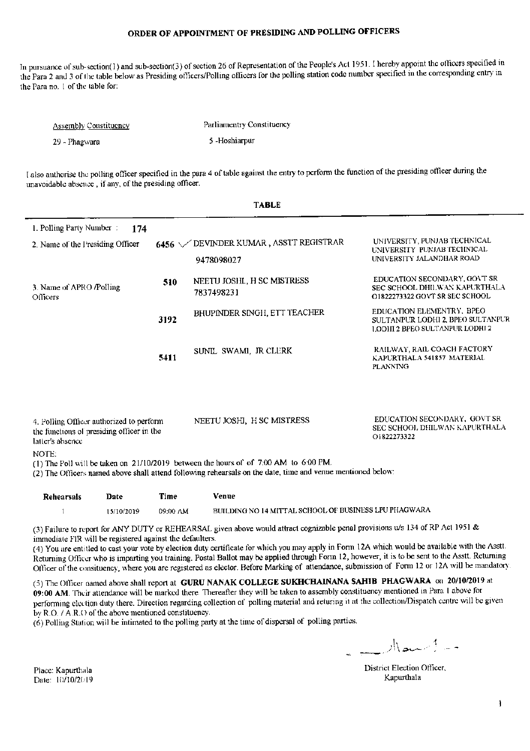In pursuance of sub-section(1) and sub-section(3) of section 26 of Representation of the People's Act 1951. I hereby appoint the officers specified in the Para 2 and 3 of the table below as Presiding officers/Polling officers for the polling station code number specified in the corresponding entry in the Para no. 1 of the table for:

| <b>Assembly Constituency</b> | Parliamentry Constituency |
|------------------------------|---------------------------|
| 29 - Phagwara                | 5 -Hoshiarpur             |

I also authorise the polling officer specified in the para 4 of table against the entry to perform the function of the presiding officer during the unavoidable absence, if any, of the presiding officer.

| <b>TABLE</b>                                                                                                                                                                                                                                                                                                                                                                                                                            |      |                                                    |                                                                                                  |
|-----------------------------------------------------------------------------------------------------------------------------------------------------------------------------------------------------------------------------------------------------------------------------------------------------------------------------------------------------------------------------------------------------------------------------------------|------|----------------------------------------------------|--------------------------------------------------------------------------------------------------|
| 1. Polling Party Number:<br>174<br>2. Name of the Presiding Officer                                                                                                                                                                                                                                                                                                                                                                     |      | 6456 WEVINDER KUMAR, ASSTT REGISTRAR<br>9478098027 | UNIVERSITY, PUNJAB TECHNICAL<br>UNIVERSITY PUNJAB TECHNICAL<br>UNIVERSITY JALANDHAR ROAD         |
| 3. Name of APRO /Polling<br>Officers                                                                                                                                                                                                                                                                                                                                                                                                    | 510  | NEETU JOSHI., H SC MISTRESS<br>7837498231          | EDUCATION SECONDARY, GOVT SR<br>SEC SCHOOL DHILWAN KAPURTHALA<br>O1822273322 GOVT SR SEC SCHOOL  |
|                                                                                                                                                                                                                                                                                                                                                                                                                                         | 3192 | BHUPINDER SINGH, ETT TEACHER                       | EDUCATION ELEMENTRY, BPEO<br>SULTANPUR LODHI 2, BPEO SULTANPUR<br>LODHI 2 BPEO SULTANPUR LODHI 2 |
|                                                                                                                                                                                                                                                                                                                                                                                                                                         | 5411 | SUNIL SWAMI, JR CLERK                              | RAILWAY, RAIL COACH FACTORY<br>KAPURTHALA 541857 MATERIAL<br><b>PLANNING</b>                     |
| EDUCATION SECONDARY, GOVT SR<br>NEETU JOSHI, H SC MISTRESS<br>4. Polling Officer authorized to perform<br>SEC SCHOOL DHILWAN KAPURTHALA<br>the functions of presiding officer in the<br>O1822273322<br>latter's absence<br>NOTE:<br>(1) The Poll will be taken on 21/10/2019 between the hours of of 7:00 AM to 6:00 PM.<br>(2) The Officers named above shall attend following rehearsals on the date, time and venue mentioned below: |      |                                                    |                                                                                                  |
|                                                                                                                                                                                                                                                                                                                                                                                                                                         |      |                                                    |                                                                                                  |

| Rehearsals | Date       | Time     | Venue                                                 |
|------------|------------|----------|-------------------------------------------------------|
|            | 15/10/2019 | 09:00 AM | BUILDING NO 14 MITTAL SCHOOL OF BUSINESS LPU PHAGWARA |

(3) Failure to report for ANY DUTY or REHEARSAL given above would attract cognizable penal provisions u/s 134 of RP Act 1951 & immediate FIR will be registered against the defaulters.

(4) You are entitled to cast your vote by election duty certificate for which you may apply in Form 12A which would be available with the Asstt. Returning Officer who is imparting you training. Postal Ballot may be applied through Form 12, however, it is to be sent to the Asstt. Returning Officer of the consituency, where you are registered as elector. Before Marking of attendance, submission of Form 12 or 12A will be mandatory.

(5) The Officer named above shall report at GURU NANAK COLLEGE SUKHCHAINANA SAHIB PHAGWARA on 20/10/2019 at 09:00 AM. Their attendance will be marked there. Thereafter they will be taken to assembly constituency mentioned in Para 1 above for performing election duty there. Direction regarding collection of polling material and returing it at the collection/Dispatch centre will be given by R.O. / A.R.O of the above mentioned constituency.

(6) Polling Station will be intimated to the polling party at the time of dispersal of polling parties.

 $\frac{1}{\sqrt{1-\frac{1}{2}}}$ 

District Election Officer, Kapurthala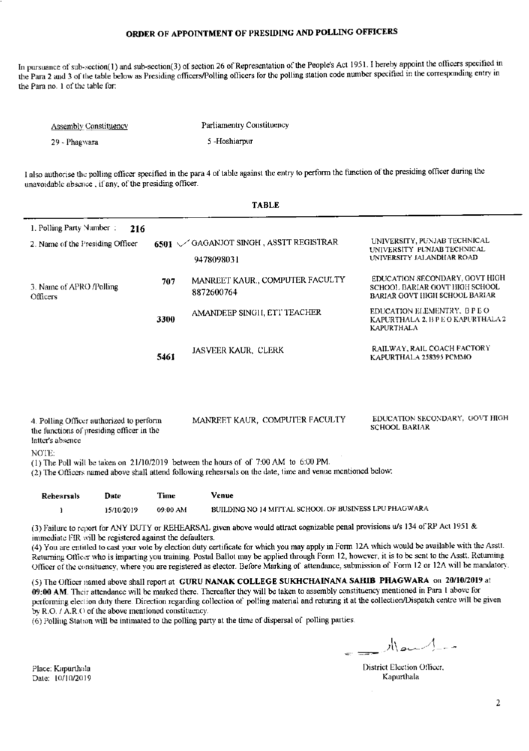In pursuance of sub-section(1) and sub-section(3) of section 26 of Representation of the People's Act 1951. I hereby appoint the officers specified in the Para 2 and 3 of the table below as Presiding officers/Polling officers for the polling station code number specified in the corresponding entry in the Para no. 1 of the table for:

| <b>Assembly Constituency</b> | Parliamentry Constituency |
|------------------------------|---------------------------|
| -29 - Phagwara               | 5-Hoshiarpur              |

I also authorise the polling officer specified in the para 4 of table against the entry to perform the function of the presiding officer during the unavoidable absence, if any, of the presiding officer.

|                                                                                                                                                                                                       |      | IADLL                                                                                                                                                                                               |                                                                                                    |  |
|-------------------------------------------------------------------------------------------------------------------------------------------------------------------------------------------------------|------|-----------------------------------------------------------------------------------------------------------------------------------------------------------------------------------------------------|----------------------------------------------------------------------------------------------------|--|
| 1. Polling Party Number:<br>216<br>2. Name of the Presiding Officer                                                                                                                                   |      | 6501 VGAGANJOT SINGH, ASSTT REGISTRAR                                                                                                                                                               | UNIVERSITY, PUNJAB TECHNICAL<br>UNIVERSITY PUNJAB TECHNICAL<br>UNIVERSITY JALANDHAR ROAD           |  |
| 3. Name of APRO /Polling<br>Officers                                                                                                                                                                  | 707  | 9478098031<br>MANREET KAUR., COMPUTER FACULTY<br>8872600764                                                                                                                                         | EDUCATION SECONDARY, GOVT HIGH<br>SCHOOL BARIAR GOVT HIGH SCHOOL<br>BARIAR GOVT HIGH SCHOOL BARIAR |  |
|                                                                                                                                                                                                       | 3300 | AMANDEEP SINGH, ETT TEACHER                                                                                                                                                                         | EDUCATION ELEMENTRY, B P E O<br>KAPURTHALA 2, B P E O KAPURTHALA 2<br><b>KAPURTHALA</b>            |  |
|                                                                                                                                                                                                       | 5461 | JASVEER KAUR, CLERK                                                                                                                                                                                 | RAILWAY, RAIL COACH FACTORY<br>KAPURTHALA 258395 PCMMO                                             |  |
| EDUCATION SECONDARY, GOVT HIGH<br>MANREET KAUR, COMPUTER FACULTY<br>4. Polling Officer authorized to perform<br><b>SCHOOL BARIAR</b><br>the functions of presiding officer in the<br>latter's absence |      |                                                                                                                                                                                                     |                                                                                                    |  |
| NOTE:                                                                                                                                                                                                 |      | (1) The Poll will be taken on 21/10/2019 between the hours of of 7:00 AM to 6:00 PM.<br>(2) The Officers named above shall attend following rehearsals on the date, time and venue mentioned below: |                                                                                                    |  |

| Rehearsals | Date       | Time     | Venue                                                 |
|------------|------------|----------|-------------------------------------------------------|
|            | 15/10/2019 | 09:00 AM | BUILDING NO 14 MITTAL SCHOOL OF BUSINESS LPU PHAGWARA |

(3) Failure to report for ANY DUTY or REHEARSAL given above would attract cognizable penal provisions u/s 134 of RP Act 1951 & immediate FIR will be registered against the defaulters.

(4) You are entitled to cast your vote by election duty certificate for which you may apply in Form 12A which would be available with the Asstt. Returning Officer who is imparting you training. Postal Ballot may be applied through Form 12, however, it is to be sent to the Asstt. Returning Officer of the consituency, where you are registered as elector. Before Marking of attendance, submission of Form 12 or 12A will be mandatory.

(5) The Officer named above shall report at GURU NANAK COLLEGE SUKHCHAINANA SAHIB PHAGWARA on 20/10/2019 at 09:00 AM. Their attendance will be marked there. Thereafter they will be taken to assembly constituency mentioned in Para 1 above for performing election duty there. Direction regarding collection of polling material and returing it at the collection/Dispatch centre will be given by R.O. / A.R.O of the above mentioned constituency.

(6) Polling Station will be intimated to the polling party at the time of dispersal of polling parties.

مساكسية بالز

District Election Officer. Kapurthala

Place: Kapurthala Date: 10/10/2019

#### $\sim$  .  $\sim$   $\sim$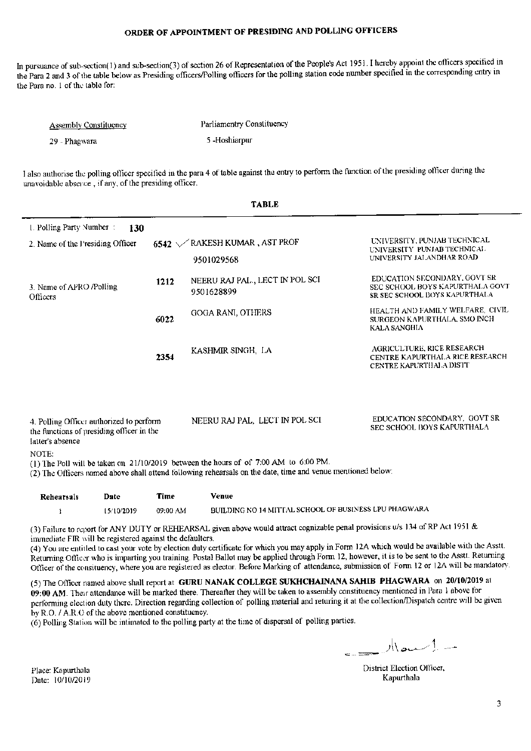In pursuance of sub-section(1) and sub-section(3) of section 26 of Representation of the People's Act 1951. I hereby appoint the officers specified in the Para 2 and 3 of the table below as Presiding officers/Polling officers for the polling station code number specified in the corresponding entry in the Para no. 1 of the table for:

| <b>Assembly Constituency</b> | Parliamentry Constituency |
|------------------------------|---------------------------|
| -29 - Phagwara               | 5-Hoshiarpur              |

I also authorise the polling officer specified in the para 4 of table against the entry to perform the function of the presiding officer during the unavoidable absence, if any, of the presiding officer.

| <b>TABLE</b>                                                                                                                                                                                                                                                                                                                                                                                                              |      |                                               |                                                                                                         |  |
|---------------------------------------------------------------------------------------------------------------------------------------------------------------------------------------------------------------------------------------------------------------------------------------------------------------------------------------------------------------------------------------------------------------------------|------|-----------------------------------------------|---------------------------------------------------------------------------------------------------------|--|
| 1. Polling Party Number:<br>130<br>2. Name of the Presiding Officer                                                                                                                                                                                                                                                                                                                                                       |      | 6542 / RAKESH KUMAR, AST PROF<br>9501029568   | UNIVERSITY, PUNJAB TECHNICAL<br>UNIVERSITY PUNJAB TECHNICAL<br>UNIVERSITY JALANDHAR ROAD                |  |
| 3. Name of APRO Polling<br>Officers                                                                                                                                                                                                                                                                                                                                                                                       | 1212 | NEERU RAJ PAL., LECT IN POL SCI<br>9501628899 | EDUCATION SECONDARY, GOVT SR<br>SEC SCHOOL BOYS KAPURTHALA GOVT<br><b>SR SEC SCHOOL BOYS KAPURTHALA</b> |  |
|                                                                                                                                                                                                                                                                                                                                                                                                                           | 6022 | GOGA RANI, OTHERS                             | HEALTH AND FAMILY WELFARE, CIVIL<br>SURGEON KAPURTHALA, SMO INCH<br>KALA SANGHIA                        |  |
|                                                                                                                                                                                                                                                                                                                                                                                                                           | 2354 | KASHMIR SINGH, LA                             | AGRICULTURE, RICE RESEARCH<br>CENTRE KAPURTHALA RICE RESEARCH<br><b>CENTRE KAPURTHALA DISTT</b>         |  |
| EDUCATION SECONDARY, GOVT SR<br>NEERU RAJ PAL, LECT IN POL SCI<br>4. Polling Officer authorized to perform<br>SEC SCHOOL BOYS KAPURTHALA<br>the functions of presiding officer in the<br>latter's absence<br>NOTE:<br>(1) The Poll will be taken on 21/10/2019 between the hours of of 7:00 AM to 6:00 PM.<br>(2) The Officers named above shall attend following rehearsals on the date, time and venue mentioned below: |      |                                               |                                                                                                         |  |
|                                                                                                                                                                                                                                                                                                                                                                                                                           |      |                                               |                                                                                                         |  |

| Rehearsals | Date       | Time     | Venue                                                 |
|------------|------------|----------|-------------------------------------------------------|
|            | 15/10/2019 | 09:00 AM | BUILDING NO 14 MITTAL SCHOOL OF BUSINESS LPU PHAGWARA |

(3) Failure to report for ANY DUTY or REHEARSAL given above would attract cognizable penal provisions  $\psi$ s 134 of RP Act 1951 & immediate FIR will be registered against the defaulters.

(4) You are entitled to cast your vote by election duty certificate for which you may apply in Form 12A which would be available with the Asstt. Returning Officer who is imparting you training. Postal Ballot may be applied through Form 12, however, it is to be sent to the Asstt. Returning Officer of the consituency, where you are registered as elector. Before Marking of attendance, submission of Form 12 or 12A will be mandatory.

(5) The Officer named above shall report at GURU NANAK COLLEGE SUKHCHAINANA SAHIB PHAGWARA on 20/10/2019 at 09:00 AM. Their attendance will be marked there. Thereafter they will be taken to assembly constituency mentioned in Para 1 above for performing election duty there. Direction regarding collection of polling material and returing it at the collection/Dispatch centre will be given by R.O. / A.R.O of the above mentioned constituency.

(6) Polling Station will be intimated to the polling party at the time of dispersal of polling parties.

 $\mathbb{R}$ 

District Election Officer, Kapurthala

Place: Kapurthala Date: 10/10/2019

3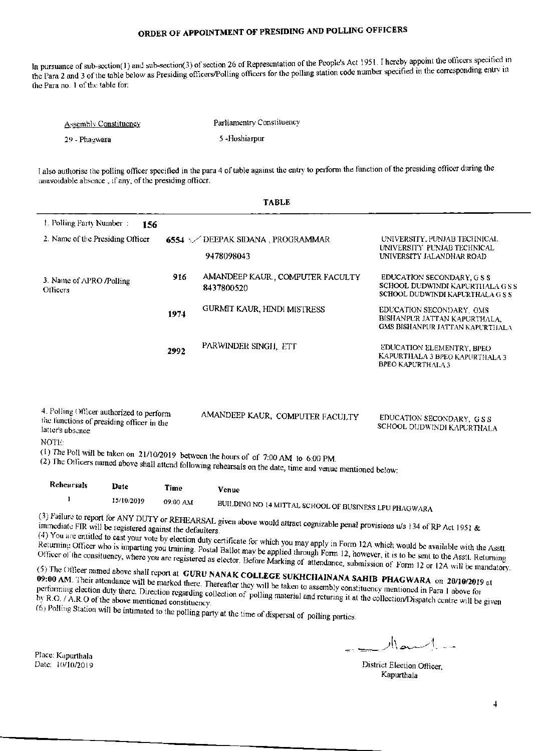In pursuance of sub-section(1) and sub-section(3) of section 26 of Representation of the People's Act 1951. I hereby appoint the officers specified in the Para 2 and 3 of the table below as Presiding officers/Polling officers for the polling station code number specified in the corresponding entry in the Para no. 1 of the table for:

| <b>Assembly Constituency</b> | Parliamentry Constituency |
|------------------------------|---------------------------|
| 29 - Phagwara                | 5 - Hoshiarpur            |

I also authorise the polling officer specified in the para 4 of table against the entry to perform the function of the presiding officer during the unavoidable absence, if any, of the presiding officer.

**TABLE** 

| 1. Polling Party Number:                                                                                  | 156        |          |                                                                                                                                                                                                       |                                                                                                    |
|-----------------------------------------------------------------------------------------------------------|------------|----------|-------------------------------------------------------------------------------------------------------------------------------------------------------------------------------------------------------|----------------------------------------------------------------------------------------------------|
| 2. Name of the Presiding Officer                                                                          |            |          | 6554 / DEEPAK SIDANA, PROGRAMMAR<br>9478098043                                                                                                                                                        | UNIVERSITY, PUNJAB TECHNICAL<br>UNIVERSITY PUNJAB TECHNICAL<br>UNIVERSITY JALANDHAR ROAD           |
| 3. Name of APRO /Polling<br><b>Officers</b>                                                               |            | 916      | AMANDEEP KAUR., COMPUTER FACULTY<br>8437800520                                                                                                                                                        | EDUCATION SECONDARY, G S S<br>SCHOOL DUDWINDI KAPURTHALA G S S<br>SCHOOL DUDWINDI KAPURTHALA G S S |
|                                                                                                           |            | 1974     | GURMIT KAUR, HINDI MISTRESS                                                                                                                                                                           | EDUCATION SECONDARY, GMS<br>BISHANPUR JATTAN KAPURTHALA,<br>GMS BISHANPUR JATTAN KAPURTHALA        |
|                                                                                                           |            | 2992     | PARWINDER SINGH, ETT                                                                                                                                                                                  | EDUCATION ELEMENTRY, BPEO<br>KAPURTHALA 3 BPEO KAPURTHALA 3<br><b>BPEO KAPURTHALA 3</b>            |
| 4. Polling Officer authorized to perform<br>the functions of presiding officer in the<br>latter's absence |            |          | AMANDEEP KAUR, COMPUTER FACULTY                                                                                                                                                                       | EDUCATION SECONDARY, G S S<br>SCHOOL DUDWINDI KAPURTHALA                                           |
| NOTE:                                                                                                     |            |          | (1) The Poll will be taken on $21/10/2019$ between the hours of of 7:00 AM to 6:00 PM.<br>(2) The Officers named above shall attend following rehearsals on the date, time and venue mentioned below; |                                                                                                    |
| Rehearsals                                                                                                | Date       | Time     | Venue                                                                                                                                                                                                 |                                                                                                    |
| I                                                                                                         | 15/10/2019 | 09:00 AM | BUILDING NO 14 MITTAL SCHOOL OF BUSINESS LPU PHAGWARA                                                                                                                                                 |                                                                                                    |

(3) Failure to report for ANY DUTY or REHEARSAL given above would attract cognizable penal provisions u/s 134 of RP Act 1951 & immediate FIR will be registered against the defaulters.

(4) You are entitled to cast your vote by election duty certificate for which you may apply in Form 12A which would be available with the Asstt. Returning Officer who is imparting you training. Postal Ballot may be applied through Form 12, however, it is to be sent to the Asst. Returning Officer of the consituency, where you are registered as elector. Before Marking of attendance, submission of Form 12 or 12A will be mandatory.

(5) The Officer named above shall report at GURU NANAK COLLEGE SUKHCHAINANA SAHIB PHAGWARA on 20/10/2019 at 09:00 AM. Their attendance will be marked there. Thereafter they will be taken to assembly constituency mentioned in Para 1 above for performing election duty there. Direction regarding collection of polling material and returing it at the collection/Dispatch centre will be given by R.O. / A.R.O of the above mentioned constituency. (6) Polling Station will be intimated to the polling party at the time of dispersal of polling parties.

 $M$ and -

District Election Officer, Kapurthala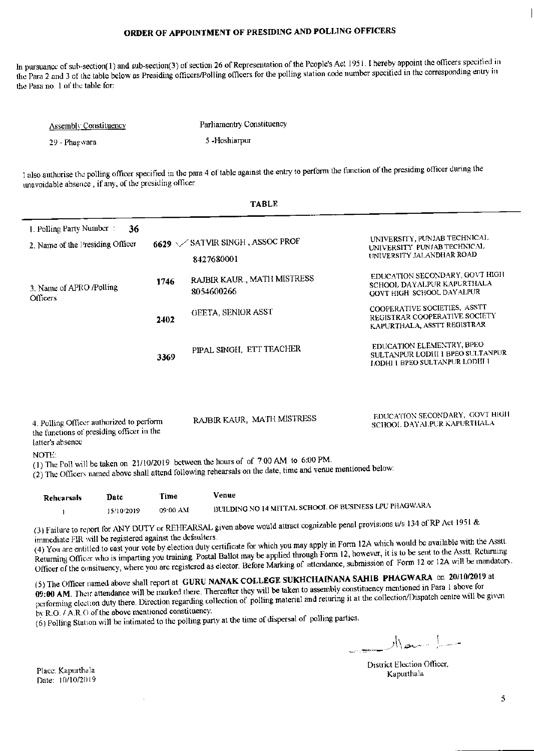In pursuance of sub-section(1) and sub-section(3) of section 26 of Representation of the People's Act 1951. I hereby appoint the officers specified in the Para 2 and 3 of the table below as Presiding officers/Polling officers for the polling station code number specified in the corresponding entry in the Para no. 1 of the table for:

| <b>Assembly Constituency</b> | Parliamentry Constituency |
|------------------------------|---------------------------|
| 29 - Phagwara                | 5 -Hoshiarpur             |

I also authorise the polling officer specified in the para 4 of table against the entry to perform the function of the presiding officer during the unavoidable absence, if any, of the presiding officer.

TA DI E

|                                                                                                                                                                                                                                                                                                                                                                                                                           |      | IADLE                                                   |                                                                                                        |  |
|---------------------------------------------------------------------------------------------------------------------------------------------------------------------------------------------------------------------------------------------------------------------------------------------------------------------------------------------------------------------------------------------------------------------------|------|---------------------------------------------------------|--------------------------------------------------------------------------------------------------------|--|
| 1. Polling Party Number:<br>36<br>2. Name of the Presiding Officer                                                                                                                                                                                                                                                                                                                                                        |      | 6629 $\sqrt{\ }$ SATVIR SINGH, ASSOC PROF<br>8427680001 | UNIVERSITY, PUNJAB TECHNICAL<br>UNIVERSITY PUNJAB TECHNICAL<br>UNIVERSITY JALANDHAR ROAD               |  |
| 1746<br>3. Name of APRO /Polling<br><b>Officers</b><br>2402                                                                                                                                                                                                                                                                                                                                                               |      | RAJBIR KAUR., MATH MISTRESS<br>8054600266               | EDUCATION SECONDARY, GOVT HIGH<br>SCHOOL DAYALPUR KAPURTHALA<br>GOVT HIGH SCHOOL DAYALPUR              |  |
|                                                                                                                                                                                                                                                                                                                                                                                                                           |      | GEETA, SENIOR ASST                                      | COOPERATIVE SOCIETIES, ASSTT<br>REGISTRAR COOPERATIVE SOCIETY<br>KAPURTHALA, ASSTT REGISTRAR           |  |
|                                                                                                                                                                                                                                                                                                                                                                                                                           | 3369 | PIPAL SINGH, ETT TEACHER                                | EDUCATION ELEMENTRY, BPEO<br>SULTANPUR LODHI I BPEO SULTANPUR<br><b>LODHI 1 BPEO SULTANPUR LODHI 1</b> |  |
| EDUCATION SECONDARY, GOVT HIGH<br>RAJBIR KAUR, MATH MISTRESS<br>4. Polling Officer authorized to perform<br>SCHOOL DAYALPUR KAPURTHALA<br>the functions of presiding officer in the<br>latter's absence<br>NOTE:<br>(1) The Poll will be taken on $21/10/2019$ between the hours of of 7:00 AM to 6:00 PM.<br>(2) The Officers named above shall attend following rehearsals on the date, time and venue mentioned below: |      |                                                         |                                                                                                        |  |
|                                                                                                                                                                                                                                                                                                                                                                                                                           |      |                                                         |                                                                                                        |  |

| Rehearsals | Date       | Time     | Venue                                                 |
|------------|------------|----------|-------------------------------------------------------|
|            | 15/10/2019 | 09:00 AM | BUILDING NO 14 MITTAL SCHOOL OF BUSINESS LPU PHAGWARA |

(3) Failure to report for ANY DUTY or REHEARSAL given above would attract cognizable penal provisions u/s 134 of RP Act 1951 & immediate FIR will be registered against the defaulters.

(4) You are entitled to cast your vote by election duty certificate for which you may apply in Form 12A which would be available with the Asstt. Returning Officer who is imparting you training. Postal Ballot may be applied through Form 12, however, it is to be sent to the Asstt. Returning Officer of the consituency, where you are registered as elector. Before Marking of attendance, submission of Form 12 or 12A will be mandatory.

(5) The Officer named above shall report at GURU NANAK COLLEGE SUKHCHAINANA SAHIB PHAGWARA on 20/10/2019 at 09:00 AM. Their attendance will be marked there. Thereafter they will be taken to assembly constituency mentioned in Para 1 above for performing election duty there. Direction regarding collection of polling material and returing it at the collection/Dispatch centre will be given by R.O. / A.R.O of the above mentioned constituency.

(6) Polling Station will be intimated to the polling party at the time of dispersal of polling parties.

 $\bar{z}$ 

 $\mathbb{R}$ 

District Election Officer, Kapurthala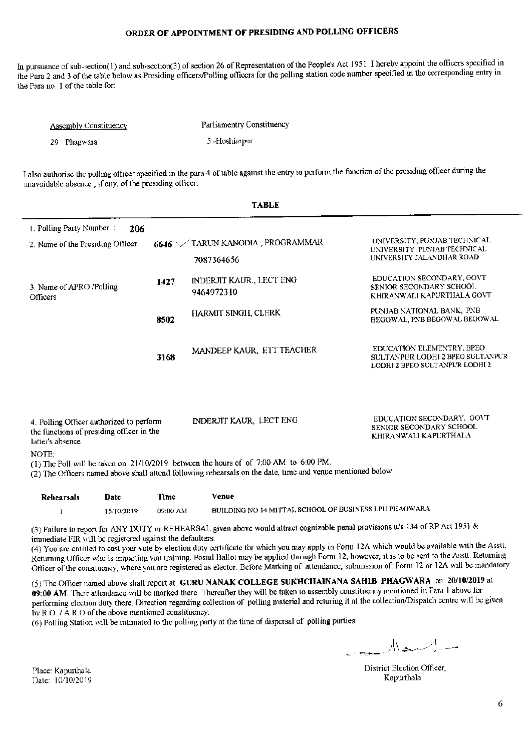In pursuance of sub-section(1) and sub-section(3) of section 26 of Representation of the People's Act 1951. I hereby appoint the officers specified in the Para 2 and 3 of the table below as Presiding officers/Polling officers for the polling station code number specified in the corresponding entry in the Para no. 1 of the table for:

| Assembly Constituency | Parliamentry Constituency |
|-----------------------|---------------------------|
| 29 - Phagwara         | 5 -Hoshiarpur             |

I also authorise the polling officer specified in the para 4 of table against the entry to perform the function of the presiding officer during the unavoidable absence, if any, of the presiding officer.

|                                                                                                                                                                                                                                                                                                                                                                                                                                       |      | <b>TABLE</b>                                   |                                                                                                 |  |
|---------------------------------------------------------------------------------------------------------------------------------------------------------------------------------------------------------------------------------------------------------------------------------------------------------------------------------------------------------------------------------------------------------------------------------------|------|------------------------------------------------|-------------------------------------------------------------------------------------------------|--|
| 1. Polling Party Number:<br>206<br>2. Name of the Presiding Officer                                                                                                                                                                                                                                                                                                                                                                   |      | 6646 V TARUN KANODIA, PROGRAMMAR<br>7087364656 | UNIVERSITY, PUNJAB TECHNICAL<br>UNIVERSITY PUNJAB TECHNICAL<br>UNIVERSITY JALANDHAR ROAD        |  |
| 1427<br>3. Name of APRO /Polling<br><b>Officers</b><br>8502                                                                                                                                                                                                                                                                                                                                                                           |      | INDERJIT KAUR., LECT ENG<br>9464972310         | EDUCATION SECONDARY, GOVT<br>SENIOR SECONDARY SCHOOL<br>KHIRANWALI KAPURTHALA GOVT              |  |
|                                                                                                                                                                                                                                                                                                                                                                                                                                       |      | HARMIT SINGH, CLERK                            | PUNJAB NATIONAL BANK, PNB<br>BEGOWAL, PNB BEGOWAL BEGOWAL                                       |  |
|                                                                                                                                                                                                                                                                                                                                                                                                                                       | 3168 | MANDEEP KAUR. ETT TEACHER                      | EDUCATION ELEMENTRY, BPEO<br>SULTANPUR LODHI 2 BPEO SULTANPUR<br>LODHI 2 BPEO SULTANPUR LODHI 2 |  |
| EDUCATION SECONDARY. GOVT<br>INDERJIT KAUR, LECT ENG<br>4. Polling Officer authorized to perform<br>SENIOR SECONDARY SCHOOL<br>the functions of presiding officer in the<br>KHIRANWALI KAPURTHALA<br>latter's absence<br>NOTE:<br>(1) The Poll will be taken on 21/10/2019 between the hours of of 7:00 AM to 6:00 PM.<br>(2) The Officers named above shall attend following rehearsals on the date, time and venue mentioned below: |      |                                                |                                                                                                 |  |

Venue Date Time Rehearsals BUILDING NO 14 MITTAL SCHOOL OF BUSINESS LPU PHAGWARA  $\mathbf{1}$ 15/10/2019 09:00 AM

(3) Failure to report for ANY DUTY or REHEARSAL given above would attract cognizable penal provisions u/s 134 of RP Act 1951 & immediate FIR will be registered against the defaulters.

(4) You are entitled to cast your vote by election duty certificate for which you may apply in Form 12A which would be available with the Asstt. Returning Officer who is imparting you training. Postal Ballot may be applied through Form 12, however, it is to be sent to the Asstt. Returning Officer of the consituency, where you are registered as elector. Before Marking of attendance, submission of Form 12 or 12A will be mandatory.

(5) The Officer named above shall report at GURU NANAK COLLEGE SUKHCHAINANA SAHIB PHAGWARA on 20/10/2019 at 09:00 AM. Their attendance will be marked there. Thereafter they will be taken to assembly constituency mentioned in Para 1 above for performing election duty there. Direction regarding collection of polling material and returing it at the collection/Dispatch centre will be given by R.O. / A.R.O of the above mentioned constituency.

(6) Polling Station will be intimated to the polling party at the time of dispersal of polling parties.

 $\mathbb{R}$ 

District Election Officer, Kapurthala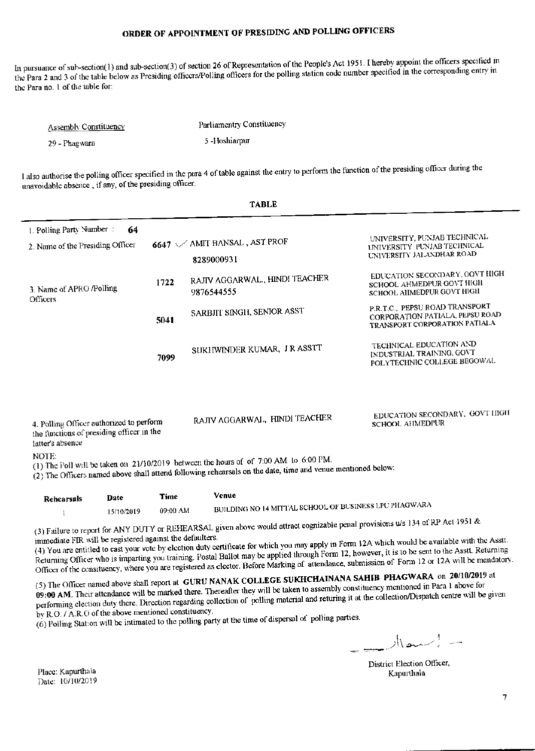In pursuance of sub-section(1) and sub-section(3) of section 26 of Representation of the People's Act 1951. I hereby appoint the officers specified in the Para 2 and 3 of the table below as Presiding officers/Polling officers for the polling station code number specified in the corresponding entry in the Para no. 1 of the table for:

Parliamentry Constituency **Assembly Constituency** 5-lloshiarpur 29 - Phagwara

I also authorise the polling officer specified in the para 4 of table against the entry to perform the function of the presiding officer during the unavoidable absence, if any, of the presiding officer.

|                                                                                                           |      | <b>TABLE</b>                                                                                                                                                                                        |                                                                                                    |
|-----------------------------------------------------------------------------------------------------------|------|-----------------------------------------------------------------------------------------------------------------------------------------------------------------------------------------------------|----------------------------------------------------------------------------------------------------|
| 1. Polling Party Number:<br>64<br>2. Name of the Presiding Officer                                        |      | 6647 \/ AMIT BANSAL, AST PROF<br>8289000931                                                                                                                                                         | UNIVERSITY, PUNJAB TECHNICAL<br>UNIVERSITY PUNJAB TECHNICAL<br>UNIVERSITY JALANDHAR ROAD           |
| 3. Name of APRO /Polling                                                                                  | 1722 | RAJIV AGGARWAL., HINDI TEACHER<br>9876544555                                                                                                                                                        | EDUCATION SECONDARY, GOVT HIGH<br>SCHOOL AHMEDPUR GOVT HIGH<br>SCHOOL AIIMEDPUR GOVT HIGH          |
| Officers                                                                                                  | 5041 | SARBJIT SINGH, SENIOR ASST                                                                                                                                                                          | P.R.T.C., PEPSU ROAD TRANSPORT<br>CORPORATION PATIALA, PEPSU ROAD<br>TRANSPORT CORPORATION PATIALA |
|                                                                                                           | 7099 | SUKHWINDER KUMAR, J R ASSTT                                                                                                                                                                         | TECHNICAL EDUCATION AND<br>INDUSTRIAL TRAINING, GOVT<br>POLYTECHNIC COLLEGE BEGOWAL                |
| 4. Polling Officer authorized to perform<br>the functions of presiding officer in the<br>latter's absence |      | RAJIV AGGARWAL, HINDI TEACHER                                                                                                                                                                       | EDUCATION SECONDARY, GOVT HIGH<br>SCHOOL AHMEDPUR                                                  |
| NOTE:                                                                                                     |      | (1) The Poll will be taken on 21/10/2019 between the hours of of 7:00 AM to 6:00 PM.<br>(2) The Officers named above shall attend following rehearsals on the date, time and venue mentioned below: |                                                                                                    |
| Date<br>Rehearsals                                                                                        | Time | Venue                                                                                                                                                                                               |                                                                                                    |

BUILDING NO 14 MITTAL SCHOOL OF BUSINESS LPU PHAGWARA 09:00 AM 15/10/2019  $1\,$ 

(3) Failure to report for ANY DUTY or REHEARSAL given above would attract cognizable penal provisions u/s 134 of RP Act 1951 & immediate FIR will be registered against the defaulters.

(4) You are entitled to cast your vote by election duty certificate for which you may apply in Form 12A which would be available with the Asstt. Returning Officer who is imparting you training. Postal Ballot may be applied through Form 12, however, it is to be sent to the Asstt. Returning Officer of the consituency, where you are registered as elector. Before Marking of attendance, submission of Form 12 or 12A will be mandatory.

(5) The Officer named above shall report at GURU NANAK COLLEGE SUKHCHAINANA SAHIB PHAGWARA on 20/10/2019 at 09:00 AM. Their attendance will be marked there. Thereafter they will be taken to assembly constituency mentioned in Para 1 above for performing clection duty there. Direction regarding collection of polling material and returing it at the collection/Dispatch centre will be given by R.O. / A.R.O of the above mentioned constituency.

(6) Polling Station will be intimated to the polling party at the time of dispersal of polling parties.

 $-$  - اسمال

District Election Officer, Kapurthala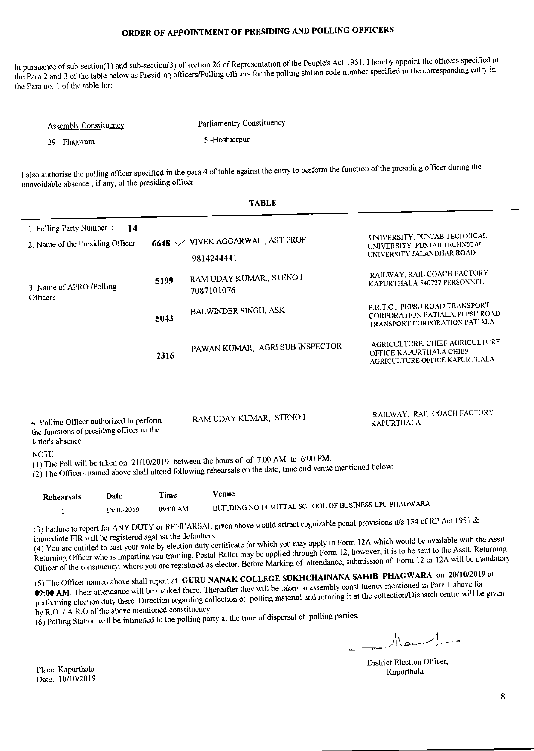In pursuance of sub-section(1) and sub-section(3) of section 26 of Representation of the People's Act 1951. I hereby appoint the officers specified in the Para 2 and 3 of the table below as Presiding officers/Polling officers for the polling station code number specified in the corresponding entry in the Para no. 1 of the table for:

| <b>Assembly Constituency</b> | Parliamentry Constituency |
|------------------------------|---------------------------|
| 29 - Phagwara                | 5-Hoshiarpur              |

I also authorise the polling officer specified in the para 4 of table against the entry to perform the function of the presiding officer during the unavoidable absence, if any, of the presiding officer.

 $\overline{a}$  .  $\overline{a}$  .  $\overline{a}$ 

|                                                                                                           |      | TYPER                                                                                                                                                                                                 |                                                                                                    |
|-----------------------------------------------------------------------------------------------------------|------|-------------------------------------------------------------------------------------------------------------------------------------------------------------------------------------------------------|----------------------------------------------------------------------------------------------------|
| 1. Polling Party Number:<br>14<br>2. Name of the Presiding Officer                                        |      | 6648 \/VIVEK AGGARWAL, AST PROF<br>9814244441                                                                                                                                                         | UNIVERSITY, PUNJAB TECHNICAL<br>UNIVERSITY PUNJAB TECHNICAL<br>UNIVERSITY JALANDHAR ROAD           |
| 3. Name of APRO /Polling<br><b>Officers</b>                                                               | 5199 | RAM UDAY KUMAR., STENO I<br>7087101076                                                                                                                                                                | RAILWAY, RAIL COACH FACTORY<br>KAPURTHALA 540727 PERSONNEL                                         |
| 5043                                                                                                      |      | <b>BALWINDER SINGH, ASK</b>                                                                                                                                                                           | P.R.T.C., PEPSU ROAD TRANSPORT<br>CORPORATION PATIALA, PEPSU ROAD<br>TRANSPORT CORPORATION PATIALA |
|                                                                                                           | 2316 | PAWAN KUMAR, AGRI SUB INSPECTOR                                                                                                                                                                       | AGRICULTURE, CHIEF AGRICULTURE<br>OFFICE KAPURTHALA CHIEF<br>AGRICULTURE OFFICE KAPURTHALA         |
| 4. Polling Officer authorized to perform<br>the functions of presiding officer in the<br>latter's absence |      | RAM UDAY KUMAR, STENO I                                                                                                                                                                               | RAILWAY, RAIL COACH FACTORY<br><b>KAPURTHALA</b>                                                   |
| NOTE:                                                                                                     |      | (1) The Poll will be taken on $21/10/2019$ between the hours of of 7:00 AM to 6:00 PM.<br>(2) The Officers named above shall attend following rehearsals on the date, time and venue mentioned below: |                                                                                                    |

| Rehearsals | Date       | Time     | Venue                                                 |
|------------|------------|----------|-------------------------------------------------------|
|            | 15/10/2019 | 09:00 AM | BUILDING NO 14 MITTAL SCHOOL OF BUSINESS LPU PHAGWARA |

(3) Failure to report for ANY DUTY or REHEARSAL given above would attract cognizable penal provisions u/s 134 of RP Act 1951 & immediate FIR will be registered against the defaulters.

(4) You are entitled to cast your vote by election duty certificate for which you may apply in Form 12A which would be available with the Asstt. Returning Officer who is imparting you training. Postal Ballot may be applied through Form 12, however, it is to be sent to the Asstt. Returning Officer of the consituency, where you are registered as elector. Before Marking of attendance, submission of Form 12 or 12A will be mandatory.

(5) The Officer named above shall report at GURU NANAK COLLEGE SUKHCHAINANA SAHIB PHAGWARA on 20/10/2019 at 09:00 AM. Their attendance will be marked there. Thereafter they will be taken to assembly constituency mentioned in Para 1 above for performing election duty there. Direction regarding collection of polling material and returing it at the collection/Dispatch centre will be given by R.O. / A.R.O of the above mentioned constituency.

(6) Polling Station will be intimated to the polling party at the time of dispersal of polling parties.

 $\mathbb{R}$  -  $\mathbb{R}$ 

District Election Officer, Kapurthala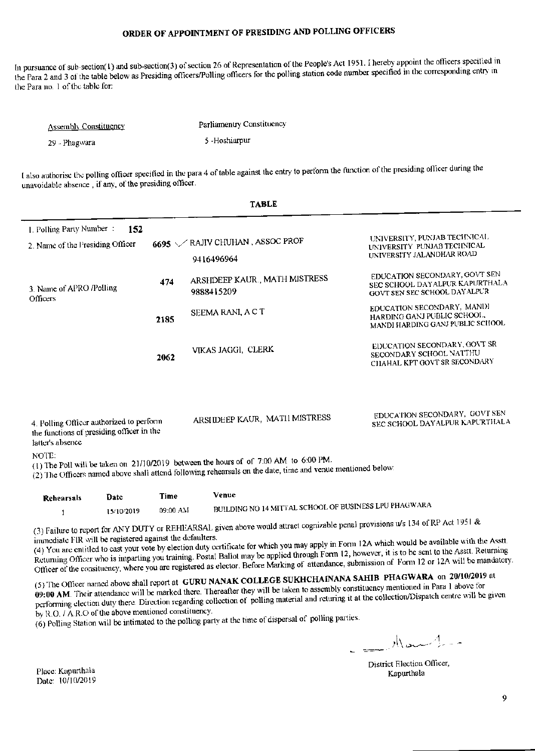In pursuance of sub-section(1) and sub-section(3) of section 26 of Representation of the People's Act 1951. I hereby appoint the officers specified in the Para 2 and 3 of the table below as Presiding officers/Polling officers for the polling station code number specified in the corresponding entry in the Para no. 1 of the table for:

| <b>Assembly Constituency</b> | Parliamentry Constituency |
|------------------------------|---------------------------|
| 29 - Phagwara                | 5-Hoshiarpur              |

I also authorise the polling officer specified in the para 4 of table against the entry to perform the function of the presiding officer during the unavoidable absence, if any, of the presiding officer.

|                                                                                                                                                                                                                |      | <b>TABLE</b>                                  |                                                                                                  |  |
|----------------------------------------------------------------------------------------------------------------------------------------------------------------------------------------------------------------|------|-----------------------------------------------|--------------------------------------------------------------------------------------------------|--|
| 1. Polling Party Number:<br>152<br>2. Name of the Presiding Officer                                                                                                                                            |      | 6695 / RAJIV CHUHAN, ASSOC PROF<br>9416496964 | UNIVERSITY, PUNJAB TECHNICAL<br>UNIVERSITY PUNJAB TECHNICAL<br>UNIVERSITY JALANDHAR ROAD         |  |
| 3. Name of APRO /Polling<br>Officers                                                                                                                                                                           | 474  | ARSHDEEP KAUR., MATH MISTRESS<br>9888415209   | EDUCATION SECONDARY, GOVT SEN<br>SEC SCHOOL DAYALPUR KAPURTHALA<br>GOVT SEN SEC SCHOOL DAY ALPUR |  |
|                                                                                                                                                                                                                | 2185 | SEEMA RANI, A C T                             | EDUCATION SECONDARY, MANDI<br>HARDING GANJ PUBLIC SCHOOL.<br>MANDI HARDING GANJ PUBLIC SCHOOL    |  |
|                                                                                                                                                                                                                | 2062 | VIKAS JAGGI, CLERK                            | EDUCATION SECONDARY, GOVT SR<br>SECONDARY SCHOOL NATTHU<br>CHAHAL KPT GOVT SR SECONDARY          |  |
| 4. Polling Officer authorized to perform<br>the functions of presiding officer in the<br>latter's absence                                                                                                      |      | ARSI IDEEP KAUR, MATII MISTRESS               | EDUCATION SECONDARY, GOVT SEN<br>SEC SCHOOL DAYALPUR KAPURTHALA                                  |  |
| NOTE:<br>(1) The Poll will be taken on $21/10/2019$ between the hours of of 7:00 AM to 6:00 PM.<br>(2) The Officers named above shall attend following rehearsals on the date, time and venue mentioned below: |      |                                               |                                                                                                  |  |
| Dote<br>Dahaamale -                                                                                                                                                                                            | Time | Venue                                         |                                                                                                  |  |

| Rehearsals | Date       | Time     | Venuc                                                 |
|------------|------------|----------|-------------------------------------------------------|
|            | 15/10/2019 | 09:00 AM | BUILDING NO 14 MITTAL SCHOOL OF BUSINESS LPU PHAGWARA |

(3) Failure to report for ANY DUTY or REHEARSAL given above would attract cognizable penal provisions u/s 134 of RP Act 1951 & immediate FIR will be registered against the defaulters.

(4) You are entitled to cast your vote by election duty certificate for which you may apply in Form 12A which would be available with the Asstt. Returning Officer who is imparting you training. Postal Ballot may be applied through Form 12, however, it is to be sent to the Asstt. Returning Officer of the consituency, where you are registered as elector. Before Marking of attendance, submission of Form 12 or 12A will be mandatory.

(5) The Officer named above shall report at GURU NANAK COLLEGE SUKHCHAINANA SAHIB PHAGWARA on 20/10/2019 at 09:00 AM. Their attendance will be marked there. Thereafter they will be taken to assembly constituency mentioned in Para 1 above for performing election duty there. Direction regarding collection of polling material and returing it at the collection/Dispatch centre will be given by R.O. / A.R.O of the above mentioned constituency.

(6) Polling Station will be intimated to the polling party at the time of dispersal of polling parties.

 $\mathbb{R}^N$ 

District Election Officer, Kapurthala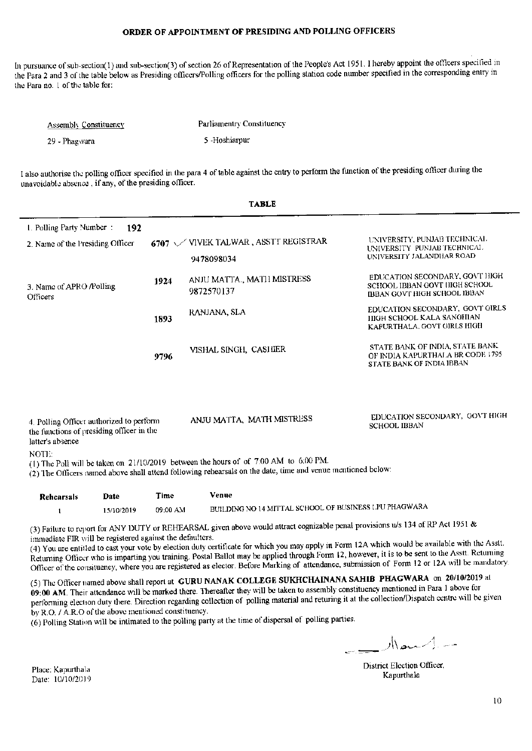In pursuance of sub-section(1) and sub-section(3) of section 26 of Representation of the People's Act 1951. I hereby appoint the officers specified in the Para 2 and 3 of the table below as Presiding officers/Polling officers for the polling station code number specified in the corresponding entry in the Para no. 1 of the table for:

| <b>Assembly Constituency</b> | Parliamentry Constituency |
|------------------------------|---------------------------|
| 29 - Phagwara                | 5 -Hoshiarpur             |

I also authorise the polling officer specified in the para 4 of table against the entry to perform the function of the presiding officer during the unavoidable absence, if any, of the presiding officer.

| <b>TABLE</b>                                                                                                                                                                                                   |      |                                                            |                                                                                                     |  |
|----------------------------------------------------------------------------------------------------------------------------------------------------------------------------------------------------------------|------|------------------------------------------------------------|-----------------------------------------------------------------------------------------------------|--|
| 1. Polling Party Number:<br>192<br>2. Name of the Presiding Officer                                                                                                                                            |      | 6707 $\sqrt{}$ VIVEK TALWAR, ASSTT REGISTRAR<br>9478098034 | UNIVERSITY, PUNJAB TECHNICAL<br>UNIVERSITY PUNJAB TECHNICAL<br>UNIVERSITY JALANDHAR ROAD            |  |
| 3. Name of APRO /Polling<br>Officers                                                                                                                                                                           | 1924 | ANJU MATTA., MATH MISTRESS<br>9872570137                   | EDUCATION SECONDARY, GOVT HIGH<br>SCHOOL IBBAN GOVT HIGH SCHOOL<br>IBBAN GOVT HIGH SCHOOL IBBAN     |  |
| 1893                                                                                                                                                                                                           |      | RANJANA, SLA                                               | EDUCATION SECONDARY, GOVT GIRLS<br><b>IIIGH SCHOOL KALA SANGHIAN</b><br>KAPURTHALA, GOVT GIRLS HIGH |  |
|                                                                                                                                                                                                                | 9796 | VISHAL SINGH, CASHER                                       | STATE BANK OF INDIA, STATE BANK<br>OF INDIA KAPURTHALA BR CODE 1795<br>STATE BANK OF INDIA IBBAN    |  |
| EDUCATION SECONDARY, GOVT HIGH<br>ANJU MATTA, MATH MISTRESS<br>4. Polling Officer authorized to perform<br><b>SCHOOL IBBAN</b><br>the functions of presiding officer in the<br>latter's absence                |      |                                                            |                                                                                                     |  |
| NOTE:<br>(1) The Poll will be taken on $21/10/2019$ between the hours of of 7:00 AM to 6:00 PM.<br>(2) The Officers named above shall attend following rehearsals on the date, time and venue mentioned below: |      |                                                            |                                                                                                     |  |
| Date<br><b>Dahoorealc</b>                                                                                                                                                                                      | Time | Venue                                                      |                                                                                                     |  |

Rehearsals Date 'I ime BUILDING NO 14 MITTAL SCHOOL OF BUSINESS LPU PHAGWARA 15/10/2019 09:00 AM  $\mathbf{1}$ 

(3) Failure to report for ANY DUTY or REHEARSAL given above would attract cognizable penal provisions u/s 134 of RP Act 1951 & immediate FIR will be registered against the defaulters.

(4) You are entitled to cast your vote by election duty certificate for which you may apply in Form 12A which would be available with the Asstt. Returning Officer who is imparting you training. Postal Ballot may be applied through Form 12, however, it is to be sent to the Asstt. Returning Officer of the consituency, where you are registered as elector. Before Marking of attendance, submission of Form 12 or 12A will be mandatory.

(5) The Officer named above shall report at GURU NANAK COLLEGE SUKHCHAINANA SAHIB PHAGWARA on 20/10/2019 at 09:00 AM. Their attendance will be marked there. Thereafter they will be taken to assembly constituency mentioned in Para 1 above for performing election duty there. Direction regarding collection of polling material and returing it at the collection/Dispatch centre will be given by R.O. / A.R.O of the above mentioned constituency.

(6) Polling Station will be intimated to the polling party at the time of dispersal of polling parties.

 $M_{\rm max}$ 

District Election Officer, Kapurthala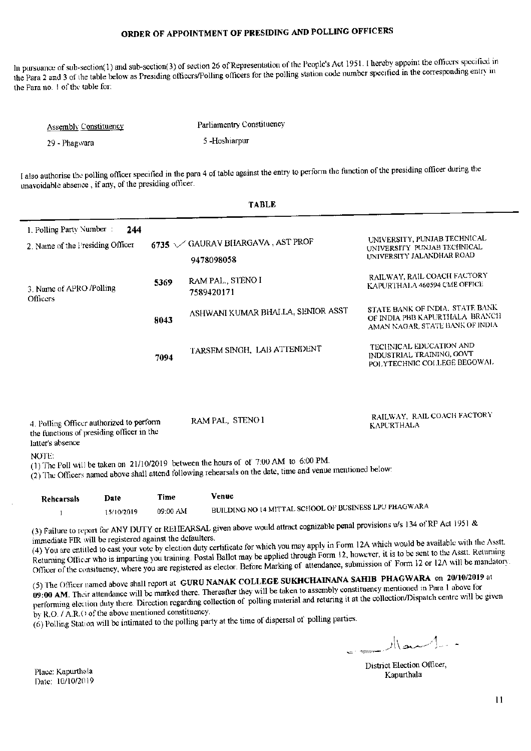In pursuance of sub-section(1) and sub-section(3) of section 26 of Representation of the People's Act 1951. I hereby appoint the officers specified in the Para 2 and 3 of the table below as Presiding officers/Polling officers for the polling station code number specified in the corresponding entry in the Para no. 1 of the table for:

| <b>Assembly Constituency</b> | Parliamentry Constituency |
|------------------------------|---------------------------|
| 29 - Phagwara                | 5-Hoshiarpur              |

I also authorise the polling officer specified in the para 4 of table against the entry to perform the function of the presiding officer during the unavoidable absence, if any, of the presiding officer.

|                                                                                                                           |      | <b>TABLE</b>                                                                                                                                                                                                                                                                                                                                          |                                                                                                      |
|---------------------------------------------------------------------------------------------------------------------------|------|-------------------------------------------------------------------------------------------------------------------------------------------------------------------------------------------------------------------------------------------------------------------------------------------------------------------------------------------------------|------------------------------------------------------------------------------------------------------|
| 1. Polling Party Number:<br>2. Name of the Presiding Officer                                                              | 244  | 6735 / GAURAV BIJARGAVA, AST PROF<br>9478098058                                                                                                                                                                                                                                                                                                       | UNIVERSITY, PUNJAB TECHNICAL<br>UNIVERSITY PUNJAB TECHNICAL<br>UNIVERSITY JALANDHAR ROAD             |
| 3. Name of APRO /Polling<br>Officers                                                                                      | 5369 | RAM PAL., STENO I<br>7589420171                                                                                                                                                                                                                                                                                                                       | RAILWAY, RAIL COACH FACTORY<br>KAPURTHALA 460594 CME OFFICE                                          |
| 8043                                                                                                                      |      | ASHWANI KUMAR BHALLA, SENIOR ASST                                                                                                                                                                                                                                                                                                                     | STATE BANK OF INDIA. STATE BANK<br>OF INDIA PBB KAPURTHALA BRANCH<br>AMAN NAGAR, STATE BANK OF INDIA |
|                                                                                                                           | 7094 | TARSEM SINGH, LAB ATTENDENT                                                                                                                                                                                                                                                                                                                           | TECHNICAL EDUCATION AND<br>INDUSTRIAL TRAINING, GOVT<br>POLYTECHNIC COLLEGE BEGOWAL                  |
| 4. Polling Officer authorized to perform<br>the functions of presiding officer in the<br>latter's absence<br><b>NOTE:</b> |      | RAM PAL, STENO 1                                                                                                                                                                                                                                                                                                                                      | RAILWAY, RAIL COACH FACTORY<br><b>KAPURTHALA</b>                                                     |
|                                                                                                                           |      | (1) The Poll will be taken on 21/10/2019 between the hours of of 7:00 AM to 6:00 PM.<br>(2) The Officers named above shall attend following rehearsals on the date, time and venue mentioned below:                                                                                                                                                   |                                                                                                      |
| Date<br><b>Rehearsals</b>                                                                                                 | Time | Venue<br>$\ldots$ $\ldots$ $\ldots$ $\ldots$ $\ldots$ $\ldots$ $\ldots$ $\ldots$ $\ldots$ $\ldots$ $\ldots$ $\ldots$ $\ldots$ $\ldots$ $\ldots$ $\ldots$ $\ldots$ $\ldots$ $\ldots$ $\ldots$ $\ldots$ $\ldots$ $\ldots$ $\ldots$ $\ldots$ $\ldots$ $\ldots$ $\ldots$ $\ldots$ $\ldots$ $\ldots$ $\ldots$ $\ldots$ $\ldots$ $\ldots$ $\ldots$ $\ldots$ |                                                                                                      |

BUILDING NO 14 MITTAL SCHOOL OF BUSINESS LPU PHAGWAR. 09:00 AM 15/10/2019  $\mathbf{1}$ 

(3) Failure to report for ANY DUTY or REHEARSAL given above would attract cognizable penal provisions u/s 134 of RP Act 1951 & immediate FIR will be registered against the defaulters.

(4) You are entitled to cast your vote by election duty certificate for which you may apply in Form 12A which would be available with the Asstt. Returning Officer who is imparting you training. Postal Ballot may be applied through Form 12, however, it is to be sent to the Asstt. Returning Officer of the consituency, where you are registered as elector. Before Marking of attendance, submission of Form 12 or 12A will be mandatory.

(5) The Officer named above shall report at GURU NANAK COLLEGE SUKHCHAINANA SAHIB PHAGWARA on 20/10/2019 at 09:00 AM. Their attendance will be marked there. Thereafter they will be taken to assembly constituency mentioned in Para 1 above for performing election duty there. Direction regarding collection of polling material and returing it at the collection/Dispatch centre will be given by R.O. / A.R.O of the above mentioned constituency.

(6) Polling Station will be intimated to the polling party at the time of dispersal of polling parties.

 $\mathbb{R}$ 

District Election Officer, Kanurthala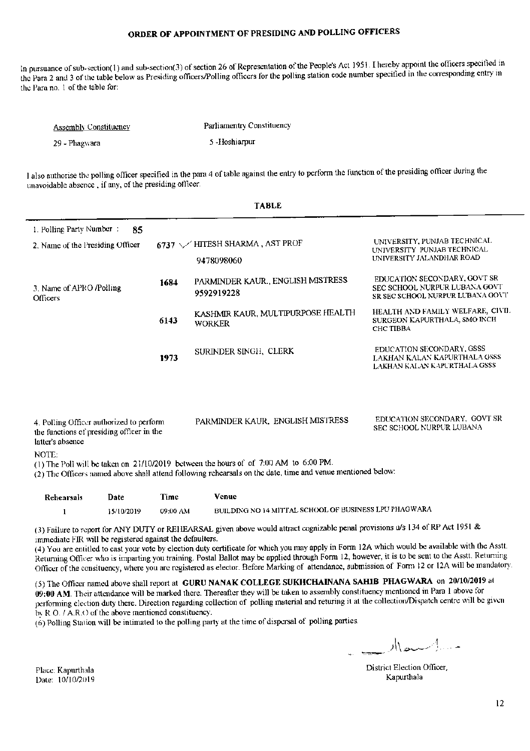In pursuance of sub-section(1) and sub-section(3) of section 26 of Representation of the People's Act 1951. I hereby appoint the officers specified in the Para 2 and 3 of the table below as Presiding officers/Polling officers for the polling station code number specified in the corresponding entry in the Para no. 1 of the table for:

| <b>Assembly Constituency</b> | Parliamentry Constituency |
|------------------------------|---------------------------|
| 29 - Phagwara                | 5-Hoshiarpur              |

I also authorise the polling officer specified in the para 4 of table against the entry to perform the function of the presiding officer during the unavoidable absence, if any, of the presiding officer.

|                                                                                                                    |      | <b>TABLE</b>                                                                                                             |                                                                                                   |
|--------------------------------------------------------------------------------------------------------------------|------|--------------------------------------------------------------------------------------------------------------------------|---------------------------------------------------------------------------------------------------|
| 1. Polling Party Number :<br>2. Name of the Presiding Officer                                                      | 85   | 6737 \/HITESH SHARMA, AST PROF<br>9478098060                                                                             | UNIVERSITY, PUNJAB TECHNICAL<br>UNIVERSITY PUNJAB TECHNICAL<br>UNIVERSITY JALANDHAR ROAD          |
| 3. Name of APRO /Polling<br>Officers                                                                               | 1684 | PARMINDER KAUR., ENGLISH MISTRESS<br>9592919228                                                                          | EDUCATION SECONDARY, GOVT SR<br>SEC SCHOOL NURPUR LUBANA GOVT<br>SR SEC SCHOOL NURPUR LUBANA GOVT |
|                                                                                                                    | 6143 | KASHMIR KAUR, MULTIPURPOSE HEALTH<br><b>WORKER</b>                                                                       | HEALTH AND FAMILY WELFARE, CIVIL<br>SURGEON KAPURTHALA, SMO INCH<br>CHC TIBBA                     |
|                                                                                                                    | 1973 | SURINDER SINGH, CLERK                                                                                                    | EDUCATION SECONDARY, GSSS<br>LAKHAN KALAN KAPURTHALA GSSS<br>LAKHAN KALAN KAPURTHALA GSSS         |
| 4. Polling Officer authorized to perform<br>the functions of presiding officer in the<br>latter's absence<br>NOTE: |      | PARMINDER KAUR, ENGLISH MISTRESS<br>(1) The Poll will be taken on 21/10/2019 between the hours of of 7:00 AM to 6:00 PM. | EDUCATION SECONDARY, GOVT SR<br>SEC SCHOOL NURPUR LUBANA                                          |
|                                                                                                                    |      | (2) The Officers named above shall attend following rehearsals on the date, time and venue mentioned below:              |                                                                                                   |
| Date<br>Rehearsals                                                                                                 | Time | Venue                                                                                                                    |                                                                                                   |

BUILDING NO 14 MITTAL SCHOOL OF BUSINESS LPU PHAGWARA  $\mathbf{1}$ 15/10/2019 09:00 AM

(3) Failure to report for ANY DUTY or REHEARSAL given above would attract cognizable penal provisions u/s 134 of RP Act 1951 & immediate FIR will be registered against the defaulters.

(4) You are entitled to cast your vote by election duty certificate for which you may apply in Form 12A which would be available with the Asstt. Returning Officer who is imparting you training. Postal Ballot may be applied through Form 12, however, it is to be sent to the Asstt. Returning Officer of the consituency, where you are registered as elector. Before Marking of attendance, submission of Form 12 or 12A will be mandatory.

(5) The Officer named above shall report at GURU NANAK COLLEGE SUKHCHAINANA SAHIB PHAGWARA on 20/10/2019 at 09:00 AM. Their attendance will be marked there. Thereafter they will be taken to assembly constituency mentioned in Para 1 above for performing election duty there. Direction regarding collection of polling material and returing it at the collection/Dispatch centre will be given by R.O. / A.R.O of the above mentioned constituency.

(6) Polling Station will be intimated to the polling party at the time of dispersal of polling parties.

- الاستحالات

District Election Officer, Kapurthala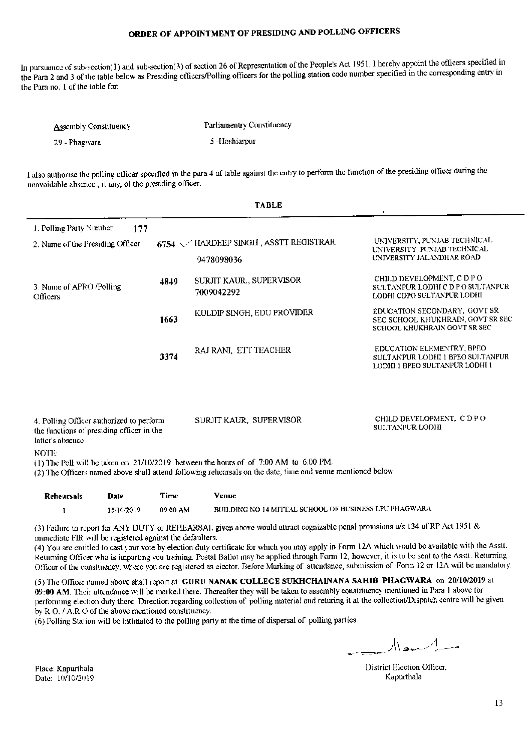In pursuance of sub-section(1) and sub-section(3) of section 26 of Representation of the People's Act 1951. I hereby appoint the officers specified in the Para 2 and 3 of the table below as Presiding officers/Polling officers for the polling station code number specified in the corresponding entry in the Para no. 1 of the table for:

| <b>Assembly Constituency</b> | Parliamentry Constituency |  |
|------------------------------|---------------------------|--|
| 29 - Phagwara                | 5-Hoshiarpur              |  |

I also authorise the polling officer specified in the para 4 of table against the entry to perform the function of the presiding officer during the unavoidable absence, if any, of the presiding officer.

|                                                                                                                                                                                                                                                                                                                                                                                                             |              | <b>TABLE</b>                                        |                                                                                                   |
|-------------------------------------------------------------------------------------------------------------------------------------------------------------------------------------------------------------------------------------------------------------------------------------------------------------------------------------------------------------------------------------------------------------|--------------|-----------------------------------------------------|---------------------------------------------------------------------------------------------------|
| 1. Polling Party Number:<br>2. Name of the Presiding Officer                                                                                                                                                                                                                                                                                                                                                | 177          | 6754 / HARDEEP SINGH, ASSTT REGISTRAR<br>9478098036 | UNIVERSITY, PUNJAB TECHNICAL<br>UNIVERSITY PUNJAB TECHNICAL<br>UNIVERSITY JALANDHAR ROAD          |
| 3. Name of APRO <i>Polling</i><br>Officers                                                                                                                                                                                                                                                                                                                                                                  | 4849         | SURJIT KAUR., SUPERVISOR<br>7009042292              | CHILD DEVELOPMENT, C D P O<br>SULTANPUR LODHI C D P O SULTANPUR<br>LODHI CDPO SULTANPUR LODHI     |
|                                                                                                                                                                                                                                                                                                                                                                                                             | 1663         | KULDIP SINGH, EDU PROVIDER                          | EDUCATION SECONDARY, GOVT SR<br>SEC SCHOOL KHUKHRAIN, GOVT SR SEC<br>SCHOOL KHUKHRAIN GOVT SR SEC |
|                                                                                                                                                                                                                                                                                                                                                                                                             | 3374         | RAJ RANI, ETT TEACHER                               | EDUCATION ELEMENTRY, BPEO<br>SULTANPUR LODHI 1 BPEO SULTANPUR<br>LODHI I BPEO SULTANPUR LODHI I   |
| CHILD DEVELOPMENT, C D PO<br>SURJIT KAUR, SUPERVISOR<br>4. Polling Officer authorized to perform<br><b>SULTANPUR LODHI</b><br>the functions of presiding officer in the<br>latter's absence<br>NOTE:<br>(1) The Poll will be taken on 21/10/2019 between the hours of of 7:00 AM to 6:00 PM.<br>(2) The Officers named above shall attend following rehearsals on the date, time and venue mentioned below: |              |                                                     |                                                                                                   |
| <b>Rehearsals</b>                                                                                                                                                                                                                                                                                                                                                                                           | Time<br>Date | <b>Venue</b>                                        |                                                                                                   |

| 15/10/2019 | 09:00 AM | BUILDING NO 14 MITTAL SCHOOL OF BUSINESS LPU PHAGWARA |
|------------|----------|-------------------------------------------------------|
|            |          |                                                       |

(3) Failure to report for ANY DUTY or REHEARSAL given above would attract cognizable penal provisions u/s 134 of RP Act 1951 & immediate FIR will be registered against the defaulters.

(4) You are entitled to cast your vote by election duty certificate for which you may apply in Form 12A which would be available with the Asstt. Returning Officer who is imparting you training. Postal Ballot may be applied through Form 12, however, it is to be sent to the Asstt. Returning Officer of the consituency, where you are registered as elector. Before Marking of attendance, submission of Form 12 or 12A will be mandatory.

(5) The Officer named above shall report at GURU NANAK COLLEGE SUKHCHAINANA SAHIB PHAGWARA on 20/10/2019 at 09:00 AM. Their attendance will be marked there. Thereafter they will be taken to assembly constituency mentioned in Para 1 above for performing election duty there. Direction regarding collection of polling material and returing it at the collection/Dispatch centre will be given by R.O. / A.R.O of the above mentioned constituency.

(6) Polling Station will be intimated to the polling party at the time of dispersal of polling parties.

سيەلىسىدىلار

District Election Officer, Kapurthala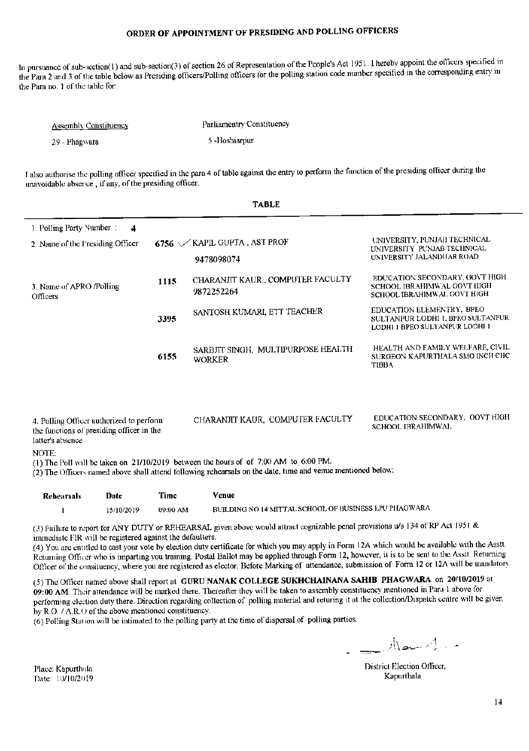In pursuance of sub-section(1) and sub-section(3) of section 26 of Representation of the People's Act 1951. I hereby appoint the officers specified in the Para 2 and 3 of the table below as Presiding officers/Polling officers for the polling station code number specified in the corresponding entry in the Para no. 1 of the table for:

| <b>Assembly Constituency</b> | Parliamentry Constituency |
|------------------------------|---------------------------|
| 29 - Phagwara                | 5-Hoshiarpur              |

I also authorise the polling officer specified in the para 4 of table against the entry to perform the function of the presiding officer during the unavoidable absence, if any, of the presiding officer.

|                                                                                                                                                                                                                                                                                                                                                                                                                             |      | <b>TABLE</b>                                        |                                                                                                  |  |
|-----------------------------------------------------------------------------------------------------------------------------------------------------------------------------------------------------------------------------------------------------------------------------------------------------------------------------------------------------------------------------------------------------------------------------|------|-----------------------------------------------------|--------------------------------------------------------------------------------------------------|--|
| 1. Polling Party Number:<br>2. Name of the Presiding Officer                                                                                                                                                                                                                                                                                                                                                                | 4    | 6756 $\sqrt{KAPIL}$ GUPTA, AST PROF<br>9478098074   | UNIVERSITY, PUNJAI3 TECHNICAL<br>UNIVERSITY PUNJAB TECHNICAL<br>UNIVERSITY JALANDHAR ROAD        |  |
| 1115<br>3. Name of APRO <i>Polling</i><br>Officers                                                                                                                                                                                                                                                                                                                                                                          |      | CHARANJIT KAUR., COMPUTER FACULTY<br>9872252264     | EDUCATION SECONDARY, GOVT HIGH<br>SCHOOL IBRAHIMWAL GOVT HIGH<br>SCHOOL IBRAHIMWAL GOVT HIGH     |  |
|                                                                                                                                                                                                                                                                                                                                                                                                                             | 3395 | SANTOSH KUMARI, ETT TEACHER                         | EDUCATION ELEMENTRY, BPEO<br>SULTANPUR LODHI 1. BPEO SULTANPUR<br>LODHI I BPEO SULTANPUR LODHI I |  |
|                                                                                                                                                                                                                                                                                                                                                                                                                             | 6155 | SARBITT SINGH, MULTIPURPOSE HEALTH<br><b>WORKER</b> | HEALTH AND FAMILY WELFARE, CIVIL<br>SURGEON KAPURTHALA SMO INCH CHC<br><b>TIBBA</b>              |  |
| EDUCATION SECONDARY, GOVT HIGH<br>CHARANJIT KAUR, COMPUTER FACULTY<br>4. Polling Officer authorized to perform<br><b>SCHOOL IBRAHIMWAL</b><br>the functions of presiding officer in the<br>latter's absence<br>NOTE:<br>(1) The Poll will be taken on 21/10/2019 between the hours of of 7:00 AM to 6:00 PM.<br>(2) The Officers named above shall attend following rehearsals on the date, time and venue mentioned below: |      |                                                     |                                                                                                  |  |
| Date<br>Rehearsals                                                                                                                                                                                                                                                                                                                                                                                                          | Time | Venue                                               |                                                                                                  |  |

| Rehearsals | Date       | Time     | Venue                                                 |
|------------|------------|----------|-------------------------------------------------------|
|            | 15/10/2019 | 09:00 AM | BUILDING NO 14 MITTAL SCHOOL OF BUSINESS LPU PHAGWARA |

(3) Failure to report for ANY DUTY or REHEARSAL given above would attract cognizable penal provisions u/s 134 of RP Act 1951 & immediate FIR will be registered against the defaulters.

(4) You are entitled to cast your vote by election duty certificate for which you may apply in Form 12A which would be available with the Asstt. Returning Officer who is imparting you training. Postal Ballot may be applied through Form 12, however, it is to be sent to the Asstt. Returning Officer of the consituency, where you are registered as elector. Before Marking of attendance, submission of Form 12 or 12A will be mandatory.

(5) The Officer named above shall report at GURU NANAK COLLEGE SUKHCHAINANA SAHIB PHAGWARA on 20/10/2019 at 09:00 AM. Their attendance will be marked there. Thereafter they will be taken to assembly constituency mentioned in Para 1 above for performing election duty there. Direction regarding collection of polling material and returing it at the collection/Dispatch centre will be given by  $R.O. / A.R.O.$  of the above mentioned constituency.

(6) Polling Station will be intimated to the polling party at the time of dispersal of polling parties.

 $\mathbb{R}$  -  $\mathbb{R}$ 

District Election Officer, Kapurthala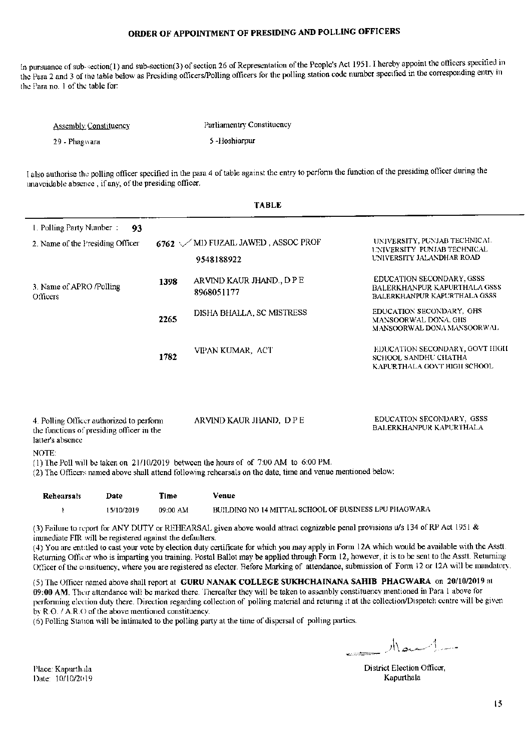In pursuance of sub-section(1) and sub-section(3) of section 26 of Representation of the People's Act 1951. I hereby appoint the officers specified in the Para 2 and 3 of the table below as Presiding officers/Polling officers for the polling station code number specified in the corresponding entry in the Para no. 1 of the table for:

| <b>Assembly Constituency</b> | Parliamentry Constituency |
|------------------------------|---------------------------|
| 29 - Phagwara                | 5-Hoshiarpur              |

I also authorise the polling officer specified in the para 4 of table against the entry to perform the function of the presiding officer during the unavoidable absence, if any, of the presiding officer.

 $m + m + m$ 

| LABLE                                                                                                              |      |                                                                                                                                                                                                                               |                                                                                                  |  |
|--------------------------------------------------------------------------------------------------------------------|------|-------------------------------------------------------------------------------------------------------------------------------------------------------------------------------------------------------------------------------|--------------------------------------------------------------------------------------------------|--|
| 1. Polling Party Number:<br>93<br>2. Name of the Presiding Officer                                                 |      | $6762 \sqrt{MD}$ FUZAIL JAWED, ASSOC PROF<br>9548188922                                                                                                                                                                       | UNIVERSITY, PUNJAB TECHNICAL<br><b>UNIVERSITY PUNJAB TECHNICAL</b><br>UNIVERSITY JALANDHAR ROAD  |  |
| 3. Name of APRO /Polling<br>Officers                                                                               | 1398 | ARVIND KAUR JHAND., DPE<br>8968051177                                                                                                                                                                                         | EDUCATION SECONDARY, GSSS<br>BALERKHANPUR KAPURTHALA GSSS<br><b>BALERKHANPUR KAPURTHALA GSSS</b> |  |
|                                                                                                                    | 2265 | DISHA BHALLA, SC MISTRESS                                                                                                                                                                                                     | EDUCATION SECONDARY, GHS<br><b>MANSOORWAL DONA, GHS</b><br>MANSOORWAL DONA MANSOORWAL            |  |
|                                                                                                                    | 1782 | VIPAN KUMAR, ACT                                                                                                                                                                                                              | EDUCATION SECONDARY, GOVT HIGH<br><b>SCHOOL SANDHU CHATHA</b><br>KAPURTHALA GOVT HIGH SCHOOL     |  |
| 4. Polling Officer authorized to perform<br>the functions of presiding officer in the<br>latter's absence<br>NOTE: |      | ARVIND KAUR JHAND, DPE<br>(1) The Poll will be taken on 21/10/2019 between the hours of of 7:00 AM to 6:00 PM.<br>(2) The Officers named above shall attend following rehearsals on the date, time and venue mentioned below: | EDUCATION SECONDARY, GSSS<br><b>BALERKHANPUR KAPURTHALA</b>                                      |  |
|                                                                                                                    |      |                                                                                                                                                                                                                               |                                                                                                  |  |

| Rehearsals | Date       | Time     | Venue                                                 |
|------------|------------|----------|-------------------------------------------------------|
|            | 15/10/2019 | 09:00 AM | BUILDING NO 14 MITTAL SCHOOL OF BUSINESS LPU PHAGWARA |

(3) Failure to report for ANY DUTY or REHEARSAL given above would attract cognizable penal provisions u/s 134 of RP Act 1951 & immediate FIR will be registered against the defaulters.

(4) You are entitled to cast your vote by election duty certificate for which you may apply in Form 12A which would be available with the Asstt. Returning Officer who is imparting you training. Postal Ballot may be applied through Form 12, however, it is to be sent to the Asstt. Returning Officer of the consituency, where you are registered as elector. Before Marking of attendance, submission of Form 12 or 12A will be mandatory.

(5) The Officer named above shall report at GURU NANAK COLLEGE SUKHCHAINANA SAHIB PHAGWARA on 20/10/2019 at 09:00 AM. Their attendance will be marked there. Thereafter they will be taken to assembly constituency mentioned in Para 1 above for performing election duty there. Direction regarding collection of polling material and returing it at the collection/Dispatch centre will be given by R.O. / A.R.O of the above mentioned constituency.

(6) Polling Station will be intimated to the polling party at the time of dispersal of polling parties.

 $1 - 1$ مسلمین <sub>دین</sub>

District Election Officer, Kapurthala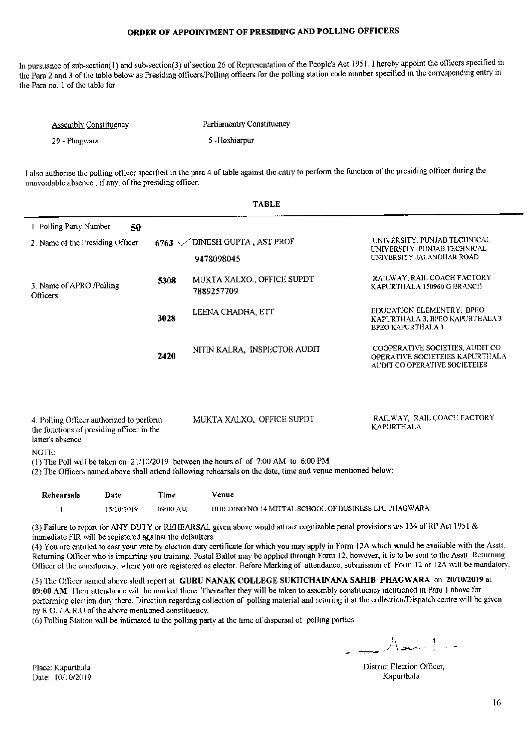In pursuance of sub-section(1) and sub-section(3) of section 26 of Representation of the People's Act 1951. I hereby appoint the officers specified in the Para 2 and 3 of the table below as Presiding officers/Polling officers for the polling station code number specified in the corresponding entry in the Para no. 1 of the table for:

| <b>Assembly Constituency</b> | Parliamentry Constituency |
|------------------------------|---------------------------|
| 29 - Phagwara                | 5 -Hoshiarpur             |

I also authorise the polling officer specified in the para 4 of table against the entry to perform the function of the presiding officer during the unavoidable absence, if any, of the presiding officer.

 $T$  and  $T$ 

|                                                                                                                                                                                                                                    |                             | , , , , , ,                                                                                                                                                                                           |                                                                                                     |
|------------------------------------------------------------------------------------------------------------------------------------------------------------------------------------------------------------------------------------|-----------------------------|-------------------------------------------------------------------------------------------------------------------------------------------------------------------------------------------------------|-----------------------------------------------------------------------------------------------------|
| 1. Polling Party Number:<br>50                                                                                                                                                                                                     |                             |                                                                                                                                                                                                       |                                                                                                     |
| 2. Name of the Presiding Officer                                                                                                                                                                                                   |                             | 6763 $\sqrt{}$ DINESH GUPTA, AST PROF                                                                                                                                                                 | UNIVERSITY, PUNJAB TECHNICAL<br><b>I INIVERSITY PUNJAB TECHNICAL</b>                                |
|                                                                                                                                                                                                                                    |                             | 9478098045                                                                                                                                                                                            | UNIVERSITY JALANDHAR ROAD                                                                           |
| 5308<br>3. Name of APRO /Polling<br>Officers<br>3028                                                                                                                                                                               |                             | MUKTA XALXO., OFFICE SUPDT<br>7889257709                                                                                                                                                              | RAILWAY, RAIL COACH FACTORY<br>KAPURTHALA 150960 G BRANCH                                           |
|                                                                                                                                                                                                                                    |                             | LEENA CHADHA, ETT                                                                                                                                                                                     | EDUCATION ELEMENTRY. BPEO<br>KAPURTHALA 3, BPEO KAPURTHALA 3<br><b>BPEO KAPURTHALA 3</b>            |
|                                                                                                                                                                                                                                    | 2420                        | NITIN KALRA, INSPECTOR AUDIT                                                                                                                                                                          | COOPERATIVE SOCIETIES, AUDIT CO<br>OPERATIVE SOCIETEIES KAPURTHALA<br>AUDIT CO OPERATIVE SOCIETEIES |
| 4. Polling Officer authorized to perform<br>the functions of presiding officer in the<br>latter's absence<br>NOTE:                                                                                                                 |                             | MUKTA XALXO, OFFICE SUPDT                                                                                                                                                                             | RAILWAY, RAIL COACH FACTORY<br><b>KAPURTHALA</b>                                                    |
|                                                                                                                                                                                                                                    |                             | (1) The Poll will be taken on $21/10/2019$ between the hours of of 7:00 AM to 6:00 PM.<br>(2) The Officers named above shall attend following rehearsals on the date, time and venue mentioned below: |                                                                                                     |
| $\mathbf{D}$ . Lessons de la companyation de la companyation de la companyation de la companyation de la companyation de la companyation de la companyation de la companyation de la companyation de la companyation de la company | $\mathbf{T}$ , $\mathbf{I}$ | $\mathbf{v}$ , $\mathbf{v}$                                                                                                                                                                           |                                                                                                     |

Rehearsals Date Time Venue BUILDING NO 14 MITTAL SCHOOL OF BUSINESS LPU PHAGWARA 15/10/2019 09:00 AM  $\mathbf{I}$ 

(3) Failure to report for ANY DUTY or REHEARSAL given above would attract cognizable penal provisions u/s 134 of RP Act 1951 & immediate FIR will be registered against the defaulters.

(4) You are entitled to cast your vote by election duty certificate for which you may apply in Form 12A which would be available with the Asstt. Returning Officer who is imparting you training. Postal Ballot may be applied through Form 12, however, it is to be sent to the Asstt. Returning Officer of the consituency, where you are registered as elector. Before Marking of attendance, submission of Form 12 or 12A will be mandatory.

(5) The Officer named above shall report at GURU NANAK COLLEGE SUKHCHAINANA SAHIB PHAGWARA on 20/10/2019 at 09:00 AM. Their attendance will be marked there. Thereafter they will be taken to assembly constituency mentioned in Para 1 above for performing election duty there. Direction regarding collection of polling material and returing it at the collection/Dispatch centre will be given by R.O. / A.R.O of the above mentioned constituency.

(6) Polling Station will be intimated to the polling party at the time of dispersal of polling parties.

Macelle

District Election Officer, Kapurthala

Place: Kapurthala Date: 10/10/2019

 $\overline{a}$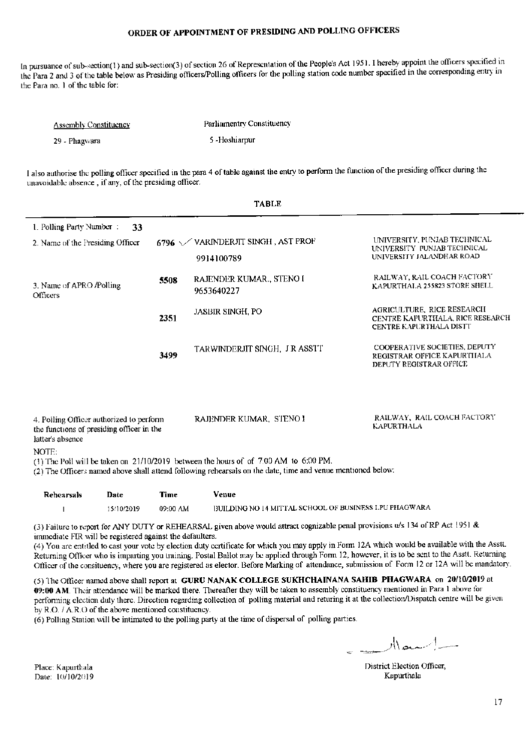In pursuance of sub-section(1) and sub-section(3) of section 26 of Representation of the People's Act 1951. I hereby appoint the officers specified in the Para 2 and 3 of the table below as Presiding officers/Polling officers for the polling station code number specified in the corresponding entry in the Para no. 1 of the table for:

| <b>Assembly Constituency</b> | Parliamentry Constituency |
|------------------------------|---------------------------|
| 29 - Phagwara                | 5 - Hoshiarpur            |

I also authorise the polling officer specified in the para 4 of table against the entry to perform the function of the presiding officer during the unavoidable absence, if any, of the presiding officer.

**TADID** 

|                                                                                                                                                                                                                |      | ,,,,,,                                     |                                                                                                  |  |
|----------------------------------------------------------------------------------------------------------------------------------------------------------------------------------------------------------------|------|--------------------------------------------|--------------------------------------------------------------------------------------------------|--|
| 1. Polling Party Number:                                                                                                                                                                                       | 33   |                                            |                                                                                                  |  |
| 2. Name of the Presiding Officer                                                                                                                                                                               |      | 6796 $\sqrt{}$ VARINDERJIT SINGH, AST PROF | UNIVERSITY, PUNJAB TECHNICAL<br>UNIVERSITY PUNJAB TECHNICAL                                      |  |
|                                                                                                                                                                                                                |      | 9914100789                                 | UNIVERSITY JALANDHAR ROAD                                                                        |  |
| 3. Name of APRO /Polling<br><b>Officers</b>                                                                                                                                                                    | 5508 | RAJENDER KUMAR., STENO I<br>9653640227     | RAILWAY, RAIL COACH FACTORY<br>KAPURTHALA 255823 STORE SHELL                                     |  |
|                                                                                                                                                                                                                | 2351 | <b>JASBIR SINGH, PO</b>                    | AGRICULTURE, RICE RESEARCH<br>CENTRE KAPURTHALA, RICE RESEARCH<br><b>CENTRE KAPURTHALA DISTT</b> |  |
|                                                                                                                                                                                                                | 3499 | TARWINDERJIT SINGH, J R ASSTT              | COOPERATIVE SOCIETIES, DEPUTY<br>REGISTRAR OFFICE KAPURTHALA<br>DEPUTY REGISTRAR OFFICE          |  |
| 4. Polling Officer authorized to perform<br>the functions of presiding officer in the<br>latter's absence                                                                                                      |      | RAJENDER KUMAR, STENO I                    | RAILWAY, RAIL COACH FACTORY<br><b>KAPURTHALA</b>                                                 |  |
| NOTE:<br>(1) The Poll will be taken on $21/10/2019$ between the hours of of 7.00 AM to 6.00 PM.<br>(2) The Officers named above shall attend following rehearsals on the date, time and venue mentioned below: |      |                                            |                                                                                                  |  |
| Rehearsals<br>Date                                                                                                                                                                                             | Time | Venue                                      |                                                                                                  |  |

BUILDING NO 14 MITTAL SCHOOL OF BUSINESS LPU PHAGWARA 15/10/2019 09:00 AM  $\mathbf{I}$ 

(3) Failure to report for ANY DUTY or REHEARSAL given above would attract cognizable penal provisions u/s 134 of RP Act 1951 & immediate FIR will be registered against the defaulters.

(4) You are entitled to cast your vote by election duty certificate for which you may apply in Form 12A which would be available with the Asstt. Returning Officer who is imparting you training. Postal Ballot may be applied through Form 12, however, it is to be sent to the Asstt. Returning Officer of the consituency, where you are registered as elector. Before Marking of attendance, submission of Form 12 or 12A will be mandatory.

(5) The Officer named above shall report at GURU NANAK COLLEGE SUKHCHAINANA SAHIB PHAGWARA on 20/10/2019 at 09:00 AM. Their attendance will be marked there. Thereafter they will be taken to assembly constituency mentioned in Para 1 above for performing election duty there. Direction regarding collection of polling material and returing it at the collection/Dispatch centre will be given by  $R.O. / A.R.O.$  of the above mentioned constituency.

(6) Polling Station will be intimated to the polling party at the time of dispersal of polling parties.

District Election Officer, Kapurthala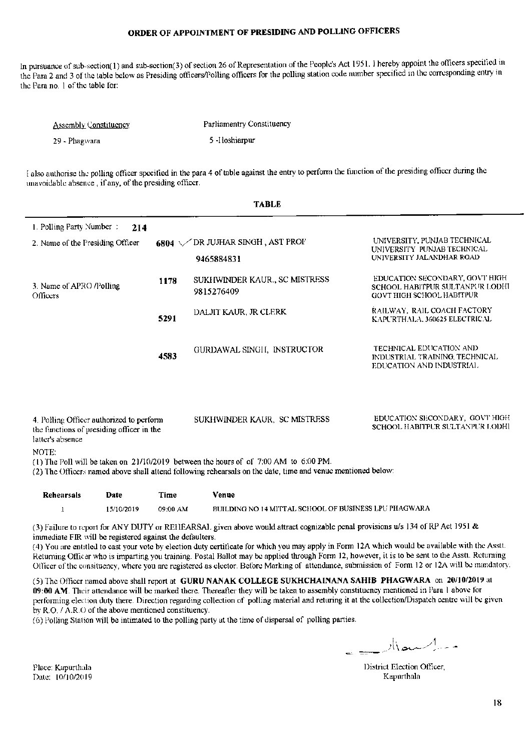In pursuance of sub-section(1) and sub-section(3) of section 26 of Representation of the People's Act 1951. I hereby appoint the officers specified in the Para 2 and 3 of the table below as Presiding officers/Polling officers for the polling station code number specified in the corresponding entry in the Para no. 1 of the table for:

| <b>Assembly Constituency</b> | Parliamentry Constituency |
|------------------------------|---------------------------|
| 29 - Phagwara                | 5-Hoshiarpur              |

I also authorise the polling officer specified in the para 4 of table against the entry to perform the function of the presiding officer during the unavoidable absence, if any, of the presiding officer.

ma bilo

|                                                                                                                                                                                                                |               | , Adij                                                                                                                                                                                              |                                                                                                       |  |  |
|----------------------------------------------------------------------------------------------------------------------------------------------------------------------------------------------------------------|---------------|-----------------------------------------------------------------------------------------------------------------------------------------------------------------------------------------------------|-------------------------------------------------------------------------------------------------------|--|--|
| 1. Polling Party Number:<br>214                                                                                                                                                                                |               |                                                                                                                                                                                                     |                                                                                                       |  |  |
| 2. Name of the Presiding Officer                                                                                                                                                                               | 6804 $\times$ | DR JUJHAR SINGH , AST PROF                                                                                                                                                                          | UNIVERSITY, PUNJAB TECHNICAL<br>UNIVERSITY PUNJAB TECHNICAL                                           |  |  |
|                                                                                                                                                                                                                |               | 9465884831                                                                                                                                                                                          | UNIVERSITY JALANDHAR ROAD                                                                             |  |  |
| 1178<br>3. Name of APRO /Polling<br>Officers                                                                                                                                                                   |               | SUKHWINDER KAUR., SC MISTRESS<br>9815276409                                                                                                                                                         | EDUCATION SECONDARY, GOVT HIGH<br>SCHOOL HABITPUR SULTANPUR LODHI<br><b>GOVT HIGH SCHOOL HABITPUR</b> |  |  |
|                                                                                                                                                                                                                | 5291          | DALJIT KAUR, JR CLERK                                                                                                                                                                               | RAILWAY, RAIL COACH FACTORY<br>KAPURTHALA, 360625 ELECTRICAL                                          |  |  |
|                                                                                                                                                                                                                | 4583          | GURDAWAL SINGH, INSTRUCTOR                                                                                                                                                                          | TECHNICAL EDUCATION AND<br>INDUSTRIAL TRAINING, TECHNICAL<br>EDUCATION AND INDUSTRIAL                 |  |  |
| EDUCATION SECONDARY, GOVT HIGH<br>SUKHWINDER KAUR. SC MISTRESS<br>4. Polling Officer authorized to perform<br>SCHOOL HABITPUR SULTANPUR LODHI<br>the functions of presiding officer in the<br>latter's absence |               |                                                                                                                                                                                                     |                                                                                                       |  |  |
| NOTE:                                                                                                                                                                                                          |               | (1) The Poll will be taken on 21/10/2019 between the hours of of 7:00 AM to 6:00 PM.<br>(2) The Officers named above shall attend following rehearsals on the date, time and venue mentioned below: |                                                                                                       |  |  |
| <b>Rehearsals</b><br>Date                                                                                                                                                                                      | Time          | Venue                                                                                                                                                                                               |                                                                                                       |  |  |

| Rehearsals | Date       | Time     | Venue                                                 |
|------------|------------|----------|-------------------------------------------------------|
|            | 15/10/2019 | 09:00 AM | BUILDING NO 14 MITTAL SCHOOL OF BUSINESS LPU PHAGWARA |

(3) Failure to report for ANY DUTY or REHEARSAL given above would attract cognizable penal provisions u/s 134 of RP Act 1951 & immediate FIR will be registered against the defaulters.

(4) You are entitled to cast your vote by election duty certificate for which you may apply in Form 12A which would be available with the Asstt. Returning Officer who is imparting you training. Postal Ballot may be applied through Form 12, however, it is to be sent to the Asstt. Returning Officer of the consituency, where you are registered as elector. Before Marking of attendance, submission of Form 12 or 12A will be mandatory.

(5) The Officer named above shall report at GURU NANAK COLLEGE SUKHCHAINANA SAHIB PHAGWARA on 20/10/2019 at 09:00 AM. Their attendance will be marked there. Thereafter they will be taken to assembly constituency mentioned in Para 1 above for performing election duty there. Direction regarding collection of polling material and returing it at the collection/Dispatch centre will be given by R.O. / A.R.O of the above mentioned constituency.

(6) Polling Station will be intimated to the polling party at the time of dispersal of polling parties.

- - - اسمعد الز

District Election Officer, Kapurthala